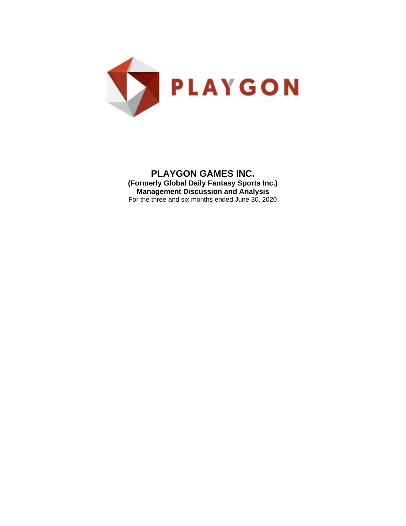

**PLAYGON GAMES INC. (Formerly Global Daily Fantasy Sports Inc.) Management Discussion and Analysis** For the three and six months ended June 30, 2020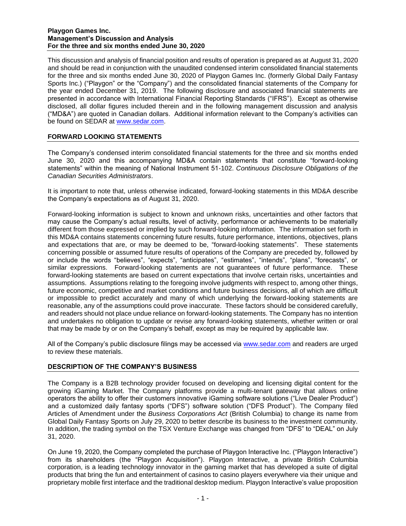This discussion and analysis of financial position and results of operation is prepared as at August 31, 2020 and should be read in conjunction with the unaudited condensed interim consolidated financial statements for the three and six months ended June 30, 2020 of Playgon Games Inc. (formerly Global Daily Fantasy Sports Inc.) ("Playgon" or the "Company") and the consolidated financial statements of the Company for the year ended December 31, 2019. The following disclosure and associated financial statements are presented in accordance with International Financial Reporting Standards ("IFRS"). Except as otherwise disclosed, all dollar figures included therein and in the following management discussion and analysis ("MD&A") are quoted in Canadian dollars. Additional information relevant to the Company's activities can be found on SEDAR at www.sedar.com.

# **FORWARD LOOKING STATEMENTS**

The Company's condensed interim consolidated financial statements for the three and six months ended June 30, 2020 and this accompanying MD&A contain statements that constitute "forward-looking statements" within the meaning of National Instrument 51-102. *Continuous Disclosure Obligations of the Canadian Securities Administrators*.

It is important to note that, unless otherwise indicated, forward-looking statements in this MD&A describe the Company's expectations as of August 31, 2020.

Forward-looking information is subject to known and unknown risks, uncertainties and other factors that may cause the Company's actual results, level of activity, performance or achievements to be materially different from those expressed or implied by such forward-looking information. The information set forth in this MD&A contains statements concerning future results, future performance, intentions, objectives, plans and expectations that are, or may be deemed to be, "forward-looking statements". These statements concerning possible or assumed future results of operations of the Company are preceded by, followed by or include the words "believes", "expects", "anticipates", "estimates", "intends", "plans", "forecasts", or similar expressions. Forward-looking statements are not guarantees of future performance. These forward-looking statements are based on current expectations that involve certain risks, uncertainties and assumptions. Assumptions relating to the foregoing involve judgments with respect to, among other things, future economic, competitive and market conditions and future business decisions, all of which are difficult or impossible to predict accurately and many of which underlying the forward-looking statements are reasonable, any of the assumptions could prove inaccurate. These factors should be considered carefully, and readers should not place undue reliance on forward-looking statements. The Company has no intention and undertakes no obligation to update or revise any forward-looking statements, whether written or oral that may be made by or on the Company's behalf, except as may be required by applicable law.

All of the Company's public disclosure filings may be accessed via [www.sedar.com](http://www.sedar.com/) and readers are urged to review these materials.

# **DESCRIPTION OF THE COMPANY'S BUSINESS**

The Company is a B2B technology provider focused on developing and licensing digital content for the growing iGaming Market. The Company platforms provide a multi-tenant gateway that allows online operators the ability to offer their customers innovative iGaming software solutions ("Live Dealer Product") and a customized daily fantasy sports ("DFS") software solution ("DFS Product"). The Company filed Articles of Amendment under the *Business Corporations Act* (British Columbia) to change its name from Global Daily Fantasy Sports on July 29, 2020 to better describe its business to the investment community. In addition, the trading symbol on the TSX Venture Exchange was changed from "DFS" to "DEAL" on July 31, 2020.

On June 19, 2020, the Company completed the purchase of Playgon Interactive Inc. ("Playgon Interactive") from its shareholders (the "Playgon Acquisition"). Playgon Interactive, a private British Columbia corporation, is a leading technology innovator in the gaming market that has developed a suite of digital products that bring the fun and entertainment of casinos to casino players everywhere via their unique and proprietary mobile first interface and the traditional desktop medium. Playgon Interactive's value proposition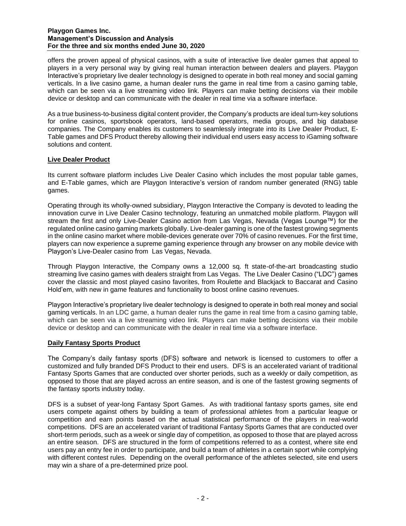offers the proven appeal of physical casinos, with a suite of interactive live dealer games that appeal to players in a very personal way by giving real human interaction between dealers and players. Playgon Interactive's proprietary live dealer technology is designed to operate in both real money and social gaming verticals. In a live casino game, a human dealer runs the game in real time from a casino gaming table, which can be seen via a live streaming video link. Players can make betting decisions via their mobile device or desktop and can communicate with the dealer in real time via a software interface.

As a true business-to-business digital content provider, the Company's products are ideal turn-key solutions for online casinos, sportsbook operators, land-based operators, media groups, and big database companies. The Company enables its customers to seamlessly integrate into its Live Dealer Product, E-Table games and DFS Product thereby allowing their individual end users easy access to iGaming software solutions and content.

# **Live Dealer Product**

Its current software platform includes Live Dealer Casino which includes the most popular table games, and E-Table games, which are Playgon Interactive's version of random number generated (RNG) table games.

Operating through its wholly-owned subsidiary, Playgon Interactive the Company is devoted to leading the innovation curve in Live Dealer Casino technology, featuring an unmatched mobile platform. Playgon will stream the first and only Live-Dealer Casino action from Las Vegas, Nevada (Vegas Lounge™) for the regulated online casino gaming markets globally. Live-dealer gaming is one of the fastest growing segments in the online casino market where mobile-devices generate over 70% of casino revenues. For the first time, players can now experience a supreme gaming experience through any browser on any mobile device with Playgon's Live-Dealer casino from Las Vegas, Nevada.

Through Playgon Interactive, the Company owns a 12,000 sq. ft state-of-the-art broadcasting studio streaming live casino games with dealers straight from Las Vegas. The Live Dealer Casino ("LDC") games cover the classic and most played casino favorites, from Roulette and Blackjack to Baccarat and Casino Hold'em, with new in game features and functionality to boost online casino revenues.

Playgon Interactive's proprietary live dealer technology is designed to operate in both real money and social gaming verticals. In an LDC game, a human dealer runs the game in real time from a casino gaming table, which can be seen via a live streaming video link. Players can make betting decisions via their mobile device or desktop and can communicate with the dealer in real time via a software interface.

# **Daily Fantasy Sports Product**

The Company's daily fantasy sports (DFS) software and network is licensed to customers to offer a customized and fully branded DFS Product to their end users. DFS is an accelerated variant of traditional Fantasy Sports Games that are conducted over shorter periods, such as a weekly or daily competition, as opposed to those that are played across an entire season, and is one of the fastest growing segments of the fantasy sports industry today.

DFS is a subset of year-long Fantasy Sport Games. As with traditional fantasy sports games, site end users compete against others by building a team of professional athletes from a particular league or competition and earn points based on the actual statistical performance of the players in real-world competitions. DFS are an accelerated variant of traditional Fantasy Sports Games that are conducted over short-term periods, such as a week or single day of competition, as opposed to those that are played across an entire season. DFS are structured in the form of competitions referred to as a contest, where site end users pay an entry fee in order to participate, and build a team of athletes in a certain sport while complying with different contest rules. Depending on the overall performance of the athletes selected, site end users may win a share of a pre-determined prize pool.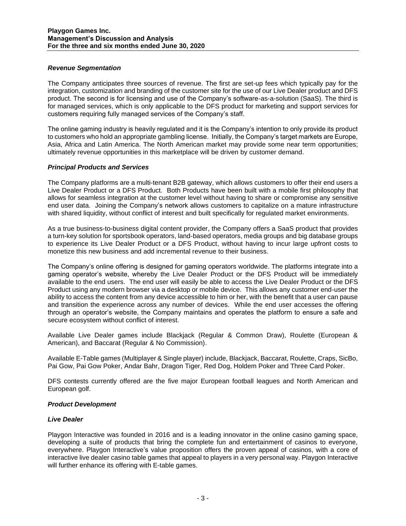## *Revenue Segmentation*

The Company anticipates three sources of revenue. The first are set-up fees which typically pay for the integration, customization and branding of the customer site for the use of our Live Dealer product and DFS product. The second is for licensing and use of the Company's software-as-a-solution (SaaS). The third is for managed services, which is only applicable to the DFS product for marketing and support services for customers requiring fully managed services of the Company's staff.

The online gaming industry is heavily regulated and it is the Company's intention to only provide its product to customers who hold an appropriate gambling license. Initially, the Company's target markets are Europe, Asia, Africa and Latin America. The North American market may provide some near term opportunities; ultimately revenue opportunities in this marketplace will be driven by customer demand.

## *Principal Products and Services*

The Company platforms are a multi-tenant B2B gateway, which allows customers to offer their end users a Live Dealer Product or a DFS Product. Both Products have been built with a mobile first philosophy that allows for seamless integration at the customer level without having to share or compromise any sensitive end user data. Joining the Company's network allows customers to capitalize on a mature infrastructure with shared liquidity, without conflict of interest and built specifically for regulated market environments.

As a true business-to-business digital content provider, the Company offers a SaaS product that provides a turn-key solution for sportsbook operators, land-based operators, media groups and big database groups to experience its Live Dealer Product or a DFS Product, without having to incur large upfront costs to monetize this new business and add incremental revenue to their business.

The Company's online offering is designed for gaming operators worldwide. The platforms integrate into a gaming operator's website, whereby the Live Dealer Product or the DFS Product will be immediately available to the end users. The end user will easily be able to access the Live Dealer Product or the DFS Product using any modern browser via a desktop or mobile device. This allows any customer end-user the ability to access the content from any device accessible to him or her, with the benefit that a user can pause and transition the experience across any number of devices. While the end user accesses the offering through an operator's website, the Company maintains and operates the platform to ensure a safe and secure ecosystem without conflict of interest.

Available Live Dealer games include Blackjack (Regular & Common Draw), Roulette (European & American), and Baccarat (Regular & No Commission).

Available E-Table games (Multiplayer & Single player) include, Blackjack, Baccarat, Roulette, Craps, SicBo, Pai Gow, Pai Gow Poker, Andar Bahr, Dragon Tiger, Red Dog, Holdem Poker and Three Card Poker.

DFS contests currently offered are the five major European football leagues and North American and European golf.

## *Product Development*

## *Live Dealer*

Playgon Interactive was founded in 2016 and is a leading innovator in the online casino gaming space, developing a suite of products that bring the complete fun and entertainment of casinos to everyone, everywhere. Playgon Interactive's value proposition offers the proven appeal of casinos, with a core of interactive live dealer casino table games that appeal to players in a very personal way. Playgon Interactive will further enhance its offering with E-table games.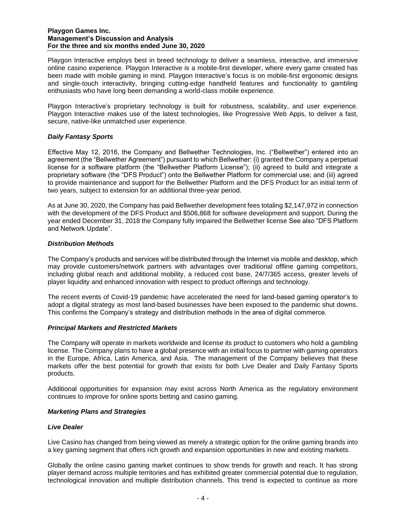Playgon Interactive employs best in breed technology to deliver a seamless, interactive, and immersive online casino experience. Playgon Interactive is a mobile-first developer, where every game created has been made with mobile gaming in mind. Playgon Interactive's focus is on mobile-first ergonomic designs and single-touch interactivity, bringing cutting-edge handheld features and functionality to gambling enthusiasts who have long been demanding a world-class mobile experience.

Playgon Interactive's proprietary technology is built for robustness, scalability, and user experience. Playgon Interactive makes use of the latest technologies, like Progressive Web Apps, to deliver a fast, secure, native-like unmatched user experience.

## *Daily Fantasy Sports*

Effective May 12, 2016, the Company and Bellwether Technologies, Inc. ("Bellwether") entered into an agreement (the "Bellwether Agreement") pursuant to which Bellwether: (i) granted the Company a perpetual license for a software platform (the "Bellwether Platform License"); (ii) agreed to build and integrate a proprietary software (the "DFS Product") onto the Bellwether Platform for commercial use; and (iii) agreed to provide maintenance and support for the Bellwether Platform and the DFS Product for an initial term of two years, subject to extension for an additional three-year period.

As at June 30, 2020, the Company has paid Bellwether development fees totaling \$2,147,972 in connection with the development of the DFS Product and \$506,868 for software development and support. During the year ended December 31, 2018 the Company fully impaired the Bellwether license See also "DFS Platform and Network Update".

## *Distribution Methods*

The Company's products and services will be distributed through the Internet via mobile and desktop, which may provide customers/network partners with advantages over traditional offline gaming competitors, including global reach and additional mobility, a reduced cost base, 24/7/365 access, greater levels of player liquidity and enhanced innovation with respect to product offerings and technology.

The recent events of Covid-19 pandemic have accelerated the need for land-based gaming operator's to adopt a digital strategy as most land-based businesses have been exposed to the pandemic shut downs. This confirms the Company's strategy and distribution methods in the area of digital commerce.

## *Principal Markets and Restricted Markets*

The Company will operate in markets worldwide and license its product to customers who hold a gambling license. The Company plans to have a global presence with an initial focus to partner with gaming operators in the Europe, Africa, Latin America, and Asia. The management of the Company believes that these markets offer the best potential for growth that exists for both Live Dealer and Daily Fantasy Sports products.

Additional opportunities for expansion may exist across North America as the regulatory environment continues to improve for online sports betting and casino gaming.

## *Marketing Plans and Strategies*

## *Live Dealer*

Live Casino has changed from being viewed as merely a strategic option for the online gaming brands into a key gaming segment that offers rich growth and expansion opportunities in new and existing markets.

Globally the online casino gaming market continues to show trends for growth and reach. It has strong player demand across multiple territories and has exhibited greater commercial potential due to regulation, technological innovation and multiple distribution channels. This trend is expected to continue as more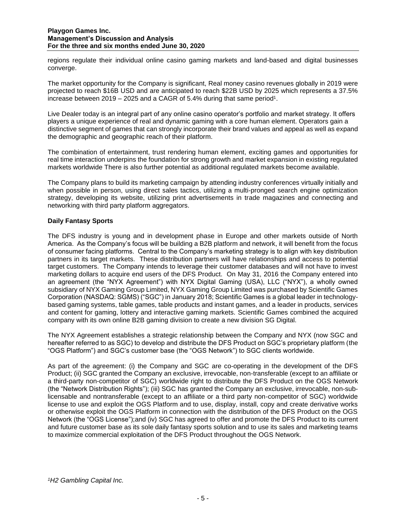regions regulate their individual online casino gaming markets and land-based and digital businesses converge.

The market opportunity for the Company is significant, Real money casino revenues globally in 2019 were projected to reach \$16B USD and are anticipated to reach \$22B USD by 2025 which represents a 37.5% increase between 2019 – 2025 and a CAGR of 5.4% during that same period<sup>1</sup>.

Live Dealer today is an integral part of any online casino operator's portfolio and market strategy. It offers players a unique experience of real and dynamic gaming with a core human element. Operators gain a distinctive segment of games that can strongly incorporate their brand values and appeal as well as expand the demographic and geographic reach of their platform.

The combination of entertainment, trust rendering human element, exciting games and opportunities for real time interaction underpins the foundation for strong growth and market expansion in existing regulated markets worldwide There is also further potential as additional regulated markets become available.

The Company plans to build its marketing campaign by attending industry conferences virtually initially and when possible in person, using direct sales tactics, utilizing a multi-pronged search engine optimization strategy, developing its website, utilizing print advertisements in trade magazines and connecting and networking with third party platform aggregators.

# **Daily Fantasy Sports**

The DFS industry is young and in development phase in Europe and other markets outside of North America. As the Company's focus will be building a B2B platform and network, it will benefit from the focus of consumer facing platforms. Central to the Company's marketing strategy is to align with key distribution partners in its target markets. These distribution partners will have relationships and access to potential target customers. The Company intends to leverage their customer databases and will not have to invest marketing dollars to acquire end users of the DFS Product. On May 31, 2016 the Company entered into an agreement (the "NYX Agreement") with NYX Digital Gaming (USA), LLC ("NYX"), a wholly owned subsidiary of NYX Gaming Group Limited, NYX Gaming Group Limited was purchased by Scientific Games Corporation (NASDAQ: SGMS) ("SGC") in January 2018; Scientific Games is a global leader in technologybased gaming systems, table games, table products and instant games, and a leader in products, services and content for gaming, lottery and interactive gaming markets. Scientific Games combined the acquired company with its own online B2B gaming division to create a new division SG Digital.

The NYX Agreement establishes a strategic relationship between the Company and NYX (now SGC and hereafter referred to as SGC) to develop and distribute the DFS Product on SGC's proprietary platform (the "OGS Platform") and SGC's customer base (the "OGS Network") to SGC clients worldwide.

As part of the agreement: (i) the Company and SGC are co-operating in the development of the DFS Product; (ii) SGC granted the Company an exclusive, irrevocable, non-transferable (except to an affiliate or a third-party non-competitor of SGC) worldwide right to distribute the DFS Product on the OGS Network (the "Network Distribution Rights"); (iii) SGC has granted the Company an exclusive, irrevocable, non-sublicensable and nontransferable (except to an affiliate or a third party non-competitor of SGC) worldwide license to use and exploit the OGS Platform and to use, display, install, copy and create derivative works or otherwise exploit the OGS Platform in connection with the distribution of the DFS Product on the OGS Network (the "OGS License");and (iv) SGC has agreed to offer and promote the DFS Product to its current and future customer base as its sole daily fantasy sports solution and to use its sales and marketing teams to maximize commercial exploitation of the DFS Product throughout the OGS Network.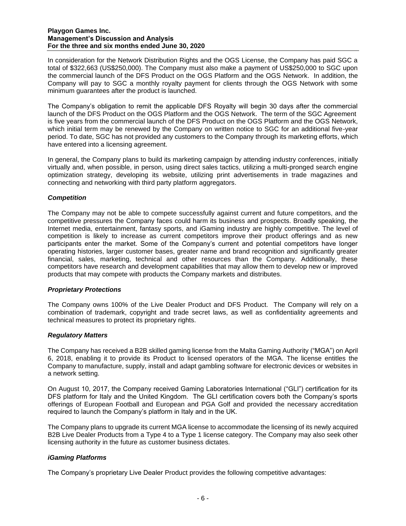In consideration for the Network Distribution Rights and the OGS License, the Company has paid SGC a total of \$322,663 (US\$250,000). The Company must also make a payment of US\$250,000 to SGC upon the commercial launch of the DFS Product on the OGS Platform and the OGS Network. In addition, the Company will pay to SGC a monthly royalty payment for clients through the OGS Network with some minimum guarantees after the product is launched.

The Company's obligation to remit the applicable DFS Royalty will begin 30 days after the commercial launch of the DFS Product on the OGS Platform and the OGS Network. The term of the SGC Agreement is five years from the commercial launch of the DFS Product on the OGS Platform and the OGS Network, which initial term may be renewed by the Company on written notice to SGC for an additional five-year period. To date, SGC has not provided any customers to the Company through its marketing efforts, which have entered into a licensing agreement.

In general, the Company plans to build its marketing campaign by attending industry conferences, initially virtually and, when possible, in person, using direct sales tactics, utilizing a multi-pronged search engine optimization strategy, developing its website, utilizing print advertisements in trade magazines and connecting and networking with third party platform aggregators.

## *Competition*

The Company may not be able to compete successfully against current and future competitors, and the competitive pressures the Company faces could harm its business and prospects. Broadly speaking, the Internet media, entertainment, fantasy sports, and iGaming industry are highly competitive. The level of competition is likely to increase as current competitors improve their product offerings and as new participants enter the market. Some of the Company's current and potential competitors have longer operating histories, larger customer bases, greater name and brand recognition and significantly greater financial, sales, marketing, technical and other resources than the Company. Additionally, these competitors have research and development capabilities that may allow them to develop new or improved products that may compete with products the Company markets and distributes.

## *Proprietary Protections*

The Company owns 100% of the Live Dealer Product and DFS Product. The Company will rely on a combination of trademark, copyright and trade secret laws, as well as confidentiality agreements and technical measures to protect its proprietary rights.

# *Regulatory Matters*

The Company has received a B2B skilled gaming license from the Malta Gaming Authority ("MGA") on April 6, 2018, enabling it to provide its Product to licensed operators of the MGA. The license entitles the Company to manufacture, supply, install and adapt gambling software for electronic devices or websites in a network setting.

On August 10, 2017, the Company received Gaming Laboratories International ("GLI") certification for its DFS platform for Italy and the United Kingdom. The GLI certification covers both the Company's sports offerings of European Football and European and PGA Golf and provided the necessary accreditation required to launch the Company's platform in Italy and in the UK.

The Company plans to upgrade its current MGA license to accommodate the licensing of its newly acquired B2B Live Dealer Products from a Type 4 to a Type 1 license category. The Company may also seek other licensing authority in the future as customer business dictates.

# *iGaming Platforms*

The Company's proprietary Live Dealer Product provides the following competitive advantages: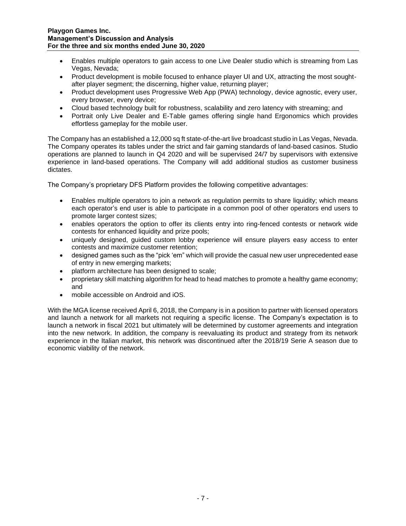- Enables multiple operators to gain access to one Live Dealer studio which is streaming from Las Vegas, Nevada;
- Product development is mobile focused to enhance player UI and UX, attracting the most soughtafter player segment; the discerning, higher value, returning player;
- Product development uses Progressive Web App (PWA) technology, device agnostic, every user, every browser, every device;
- Cloud based technology built for robustness, scalability and zero latency with streaming; and
- Portrait only Live Dealer and E-Table games offering single hand Ergonomics which provides effortless gameplay for the mobile user.

The Company has an established a 12,000 sq ft state-of-the-art live broadcast studio in Las Vegas, Nevada. The Company operates its tables under the strict and fair gaming standards of land-based casinos. Studio operations are planned to launch in Q4 2020 and will be supervised 24/7 by supervisors with extensive experience in land-based operations. The Company will add additional studios as customer business dictates.

The Company's proprietary DFS Platform provides the following competitive advantages:

- Enables multiple operators to join a network as regulation permits to share liquidity; which means each operator's end user is able to participate in a common pool of other operators end users to promote larger contest sizes;
- enables operators the option to offer its clients entry into ring-fenced contests or network wide contests for enhanced liquidity and prize pools;
- uniquely designed, guided custom lobby experience will ensure players easy access to enter contests and maximize customer retention;
- designed games such as the "pick 'em" which will provide the casual new user unprecedented ease of entry in new emerging markets;
- platform architecture has been designed to scale;
- proprietary skill matching algorithm for head to head matches to promote a healthy game economy; and
- mobile accessible on Android and iOS.

With the MGA license received April 6, 2018, the Company is in a position to partner with licensed operators and launch a network for all markets not requiring a specific license. The Company's expectation is to launch a network in fiscal 2021 but ultimately will be determined by customer agreements and integration into the new network. In addition, the company is reevaluating its product and strategy from its network experience in the Italian market, this network was discontinued after the 2018/19 Serie A season due to economic viability of the network.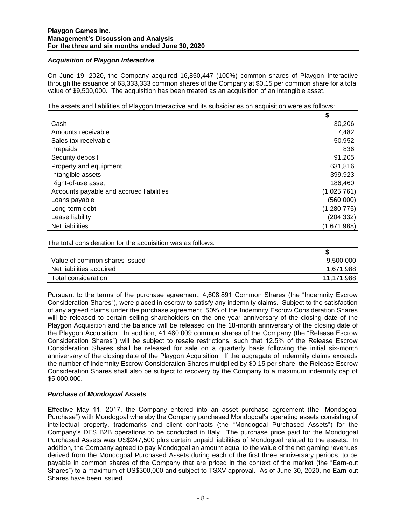## *Acquisition of Playgon Interactive*

On June 19, 2020, the Company acquired 16,850,447 (100%) common shares of Playgon Interactive through the issuance of 63,333,333 common shares of the Company at \$0.15 per common share for a total value of \$9,500,000. The acquisition has been treated as an acquisition of an intangible asset.

The assets and liabilities of Playgon Interactive and its subsidiaries on acquisition were as follows:

|                                          | \$          |
|------------------------------------------|-------------|
| Cash                                     | 30,206      |
| Amounts receivable                       | 7,482       |
| Sales tax receivable                     | 50,952      |
| Prepaids                                 | 836         |
| Security deposit                         | 91,205      |
| Property and equipment                   | 631,816     |
| Intangible assets                        | 399,923     |
| Right-of-use asset                       | 186,460     |
| Accounts payable and accrued liabilities | (1,025,761) |
| Loans payable                            | (560,000)   |
| Long-term debt                           | (1,280,775) |
| Lease liability                          | (204, 332)  |
| Net liabilities                          | (1,671,988) |

The total consideration for the acquisition was as follows:

| Value of common shares issued | 9,500,000  |
|-------------------------------|------------|
| Net liabilities acquired      | 1,671,988  |
| Total consideration           | 11,171,988 |

Pursuant to the terms of the purchase agreement, 4,608,891 Common Shares (the "Indemnity Escrow Consideration Shares"), were placed in escrow to satisfy any indemnity claims. Subject to the satisfaction of any agreed claims under the purchase agreement, 50% of the Indemnity Escrow Consideration Shares will be released to certain selling shareholders on the one-year anniversary of the closing date of the Playgon Acquisition and the balance will be released on the 18-month anniversary of the closing date of the Playgon Acquisition. In addition, 41,480,009 common shares of the Company (the "Release Escrow Consideration Shares") will be subject to resale restrictions, such that 12.5% of the Release Escrow Consideration Shares shall be released for sale on a quarterly basis following the initial six-month anniversary of the closing date of the Playgon Acquisition. If the aggregate of indemnity claims exceeds the number of Indemnity Escrow Consideration Shares multiplied by \$0.15 per share, the Release Escrow Consideration Shares shall also be subject to recovery by the Company to a maximum indemnity cap of \$5,000,000.

## *Purchase of Mondogoal Assets*

Effective May 11, 2017, the Company entered into an asset purchase agreement (the "Mondogoal Purchase") with Mondogoal whereby the Company purchased Mondogoal's operating assets consisting of intellectual property, trademarks and client contracts (the "Mondogoal Purchased Assets") for the Company's DFS B2B operations to be conducted in Italy. The purchase price paid for the Mondogoal Purchased Assets was US\$247,500 plus certain unpaid liabilities of Mondogoal related to the assets. In addition, the Company agreed to pay Mondogoal an amount equal to the value of the net gaming revenues derived from the Mondogoal Purchased Assets during each of the first three anniversary periods, to be payable in common shares of the Company that are priced in the context of the market (the "Earn-out Shares") to a maximum of US\$300,000 and subject to TSXV approval. As of June 30, 2020, no Earn-out Shares have been issued.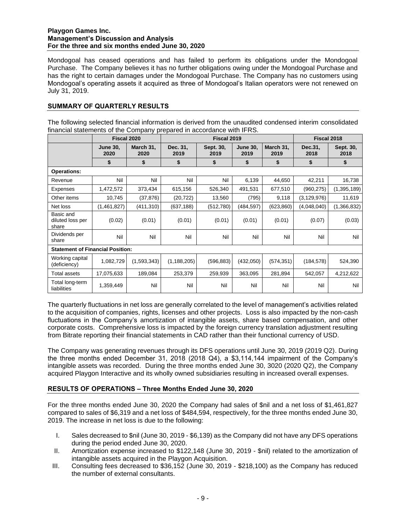Mondogoal has ceased operations and has failed to perform its obligations under the Mondogoal Purchase. The Company believes it has no further obligations owing under the Mondogoal Purchase and has the right to certain damages under the Mondogoal Purchase. The Company has no customers using Mondogoal's operating assets it acquired as three of Mondogoal's Italian operators were not renewed on July 31, 2019.

# **SUMMARY OF QUARTERLY RESULTS**

The following selected financial information is derived from the unaudited condensed interim consolidated financial statements of the Company prepared in accordance with IFRS.

|                                         | Fiscal 2020             |                   | Fiscal 2019      |                   |                         |                   | Fiscal 2018     |                   |
|-----------------------------------------|-------------------------|-------------------|------------------|-------------------|-------------------------|-------------------|-----------------|-------------------|
|                                         | <b>June 30,</b><br>2020 | March 31,<br>2020 | Dec. 31,<br>2019 | Sept. 30,<br>2019 | <b>June 30.</b><br>2019 | March 31.<br>2019 | Dec.31,<br>2018 | Sept. 30,<br>2018 |
|                                         | \$                      | \$                | \$               | \$                | \$                      | \$                | \$              | \$                |
| <b>Operations:</b>                      |                         |                   |                  |                   |                         |                   |                 |                   |
| Revenue                                 | Nil                     | Nil               | Nil              | Nil               | 6,139                   | 44,650            | 42,211          | 16,738            |
| Expenses                                | 1,472,572               | 373,434           | 615,156          | 526,340           | 491,531                 | 677,510           | (960, 275)      | (1,395,189)       |
| Other items                             | 10,745                  | (37, 876)         | (20, 722)        | 13,560            | (795)                   | 9,118             | (3, 129, 976)   | 11,619            |
| Net loss                                | (1,461,827)             | (411, 310)        | (637, 188)       | (512, 780)        | (484,597)               | (623, 860)        | (4,048,040)     | (1,366,832)       |
| Basic and<br>diluted loss per<br>share  | (0.02)                  | (0.01)            | (0.01)           | (0.01)            | (0.01)                  | (0.01)            | (0.07)          | (0.03)            |
| Dividends per<br>share                  | Nil                     | Nil               | Nil              | Nil               | Nil                     | Nil               | Nil             | Nil               |
| <b>Statement of Financial Position:</b> |                         |                   |                  |                   |                         |                   |                 |                   |
| Working capital<br>(deficiency)         | 1,082,729               | (1,593,343)       | (1, 188, 205)    | (596, 883)        | (432,050)               | (574, 351)        | (184, 578)      | 524,390           |
| Total assets                            | 17,075,633              | 189,084           | 253,379          | 259,939           | 363,095                 | 281,894           | 542,057         | 4,212,622         |
| Total long-term<br>liabilities          | 1,359,449               | Nil               | Nil              | Nil               | Nil                     | Nil               | Nil             | Nil               |

The quarterly fluctuations in net loss are generally correlated to the level of management's activities related to the acquisition of companies, rights, licenses and other projects. Loss is also impacted by the non-cash fluctuations in the Company's amortization of intangible assets, share based compensation, and other corporate costs. Comprehensive loss is impacted by the foreign currency translation adjustment resulting from Bitrate reporting their financial statements in CAD rather than their functional currency of USD.

The Company was generating revenues through its DFS operations until June 30, 2019 (2019 Q2). During the three months ended December 31, 2018 (2018 Q4), a \$3,114,144 impairment of the Company's intangible assets was recorded. During the three months ended June 30, 3020 (2020 Q2), the Company acquired Playgon Interactive and its wholly owned subsidiaries resulting in increased overall expenses.

# **RESULTS OF OPERATIONS – Three Months Ended June 30, 2020**

For the three months ended June 30, 2020 the Company had sales of \$nil and a net loss of \$1,461,827 compared to sales of \$6,319 and a net loss of \$484,594, respectively, for the three months ended June 30, 2019. The increase in net loss is due to the following:

- I. Sales decreased to \$nil (June 30, 2019 \$6,139) as the Company did not have any DFS operations during the period ended June 30, 2020.
- II. Amortization expense increased to \$122,148 (June 30, 2019 \$nil) related to the amortization of intangible assets acquired in the Playgon Acquisition.
- III. Consulting fees decreased to \$36,152 (June 30, 2019 \$218,100) as the Company has reduced the number of external consultants.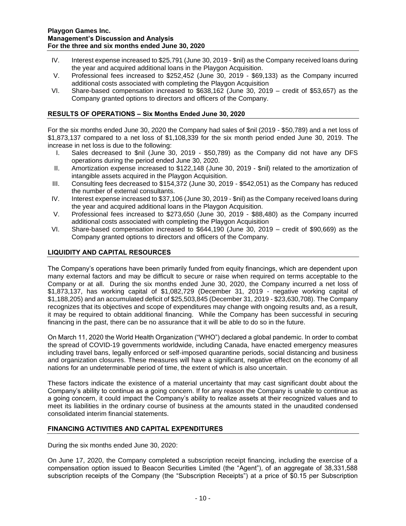- IV. Interest expense increased to \$25,791 (June 30, 2019 \$nil) as the Company received loans during the year and acquired additional loans in the Playgon Acquisition.
- V. Professional fees increased to \$252,452 (June 30, 2019 \$69,133) as the Company incurred additional costs associated with completing the Playgon Acquisition
- VI. Share-based compensation increased to \$638,162 (June 30, 2019 credit of \$53,657) as the Company granted options to directors and officers of the Company.

# **RESULTS OF OPERATIONS – Six Months Ended June 30, 2020**

For the six months ended June 30, 2020 the Company had sales of \$nil (2019 - \$50,789) and a net loss of \$1,873,137 compared to a net loss of \$1,108,339 for the six month period ended June 30, 2019. The increase in net loss is due to the following:

- I. Sales decreased to \$nil (June 30, 2019 \$50,789) as the Company did not have any DFS operations during the period ended June 30, 2020.
- II. Amortization expense increased to \$122,148 (June 30, 2019 \$nil) related to the amortization of intangible assets acquired in the Playgon Acquisition.
- III. Consulting fees decreased to \$154,372 (June 30, 2019 \$542,051) as the Company has reduced the number of external consultants.
- IV. Interest expense increased to \$37,106 (June 30, 2019 \$nil) as the Company received loans during the year and acquired additional loans in the Playgon Acquisition.
- V. Professional fees increased to \$273,650 (June 30, 2019 \$88,480) as the Company incurred additional costs associated with completing the Playgon Acquisition
- VI. Share-based compensation increased to \$644,190 (June 30, 2019 credit of \$90,669) as the Company granted options to directors and officers of the Company.

## **LIQUIDITY AND CAPITAL RESOURCES**

The Company's operations have been primarily funded from equity financings, which are dependent upon many external factors and may be difficult to secure or raise when required on terms acceptable to the Company or at all. During the six months ended June 30, 2020, the Company incurred a net loss of \$1,873,137, has working capital of \$1,082,729 (December 31, 2019 - negative working capital of \$1,188,205) and an accumulated deficit of \$25,503,845 (December 31, 2019 - \$23,630,708). The Company recognizes that its objectives and scope of expenditures may change with ongoing results and, as a result, it may be required to obtain additional financing. While the Company has been successful in securing financing in the past, there can be no assurance that it will be able to do so in the future.

On March 11, 2020 the World Health Organization ("WHO") declared a global pandemic. In order to combat the spread of COVID-19 governments worldwide, including Canada, have enacted emergency measures including travel bans, legally enforced or self-imposed quarantine periods, social distancing and business and organization closures. These measures will have a significant, negative effect on the economy of all nations for an undeterminable period of time, the extent of which is also uncertain.

These factors indicate the existence of a material uncertainty that may cast significant doubt about the Company's ability to continue as a going concern. If for any reason the Company is unable to continue as a going concern, it could impact the Company's ability to realize assets at their recognized values and to meet its liabilities in the ordinary course of business at the amounts stated in the unaudited condensed consolidated interim financial statements.

## **FINANCING ACTIVITIES AND CAPITAL EXPENDITURES**

During the six months ended June 30, 2020:

On June 17, 2020, the Company completed a subscription receipt financing, including the exercise of a compensation option issued to Beacon Securities Limited (the "Agent"), of an aggregate of 38,331,588 subscription receipts of the Company (the "Subscription Receipts") at a price of \$0.15 per Subscription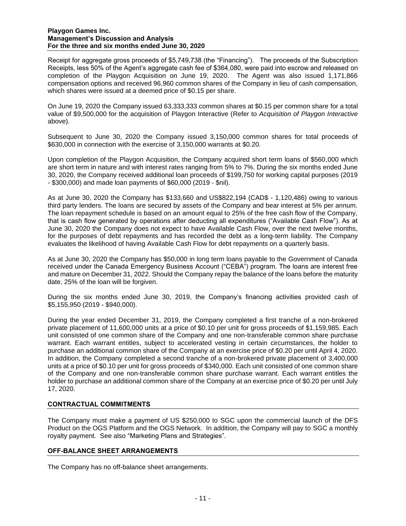Receipt for aggregate gross proceeds of \$5,749,738 (the "Financing"). The proceeds of the Subscription Receipts, less 50% of the Agent's aggregate cash fee of \$364,080, were paid into escrow and released on completion of the Playgon Acquisition on June 19, 2020. The Agent was also issued 1,171,866 compensation options and received 96,960 common shares of the Company in lieu of cash compensation, which shares were issued at a deemed price of \$0.15 per share.

On June 19, 2020 the Company issued 63,333,333 common shares at \$0.15 per common share for a total value of \$9,500,000 for the acquisition of Playgon Interactive (Refer to *Acquisition of Playgon Interactive*  above).

Subsequent to June 30, 2020 the Company issued 3,150,000 common shares for total proceeds of \$630,000 in connection with the exercise of 3,150,000 warrants at \$0.20.

Upon completion of the Playgon Acquisition, the Company acquired short term loans of \$560,000 which are short term in nature and with interest rates ranging from 5% to 7%. During the six months ended June 30, 2020, the Company received additional loan proceeds of \$199,750 for working capital purposes (2019 - \$300,000) and made loan payments of \$60,000 (2019 - \$nil).

As at June 30, 2020 the Company has \$133,660 and US\$822,194 (CAD\$ - 1,120,486) owing to various third party lenders. The loans are secured by assets of the Company and bear interest at 5% per annum. The loan repayment schedule is based on an amount equal to 25% of the free cash flow of the Company, that is cash flow generated by operations after deducting all expenditures ("Available Cash Flow"). As at June 30, 2020 the Company does not expect to have Available Cash Flow, over the next twelve months, for the purposes of debt repayments and has recorded the debt as a long-term liability. The Company evaluates the likelihood of having Available Cash Flow for debt repayments on a quarterly basis.

As at June 30, 2020 the Company has \$50,000 in long term loans payable to the Government of Canada received under the Canada Emergency Business Account ("CEBA") program. The loans are interest free and mature on December 31, 2022. Should the Company repay the balance of the loans before the maturity date, 25% of the loan will be forgiven.

During the six months ended June 30, 2019, the Company's financing activities provided cash of \$5,155,950 (2019 - \$940,000).

During the year ended December 31, 2019, the Company completed a first tranche of a non-brokered private placement of 11,600,000 units at a price of \$0.10 per unit for gross proceeds of \$1,159,985. Each unit consisted of one common share of the Company and one non-transferable common share purchase warrant. Each warrant entitles, subject to accelerated vesting in certain circumstances, the holder to purchase an additional common share of the Company at an exercise price of \$0.20 per until April 4, 2020. In addition, the Company completed a second tranche of a non-brokered private placement of 3,400,000 units at a price of \$0.10 per unit for gross proceeds of \$340,000. Each unit consisted of one common share of the Company and one non-transferable common share purchase warrant. Each warrant entitles the holder to purchase an additional common share of the Company at an exercise price of \$0.20 per until July 17, 2020.

# **CONTRACTUAL COMMITMENTS**

The Company must make a payment of US \$250,000 to SGC upon the commercial launch of the DFS Product on the OGS Platform and the OGS Network. In addition, the Company will pay to SGC a monthly royalty payment. See also "Marketing Plans and Strategies".

## **OFF-BALANCE SHEET ARRANGEMENTS**

The Company has no off-balance sheet arrangements.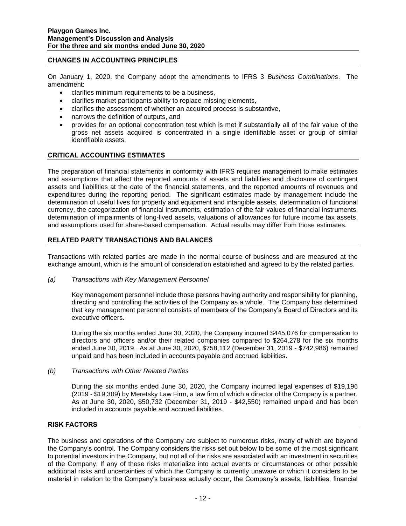## **CHANGES IN ACCOUNTING PRINCIPLES**

On January 1, 2020, the Company adopt the amendments to IFRS 3 *Business Combinations*. The amendment:

- clarifies minimum requirements to be a business,
- clarifies market participants ability to replace missing elements,
- clarifies the assessment of whether an acquired process is substantive,
- narrows the definition of outputs, and
- provides for an optional concentration test which is met if substantially all of the fair value of the gross net assets acquired is concentrated in a single identifiable asset or group of similar identifiable assets.

## **CRITICAL ACCOUNTING ESTIMATES**

The preparation of financial statements in conformity with IFRS requires management to make estimates and assumptions that affect the reported amounts of assets and liabilities and disclosure of contingent assets and liabilities at the date of the financial statements, and the reported amounts of revenues and expenditures during the reporting period. The significant estimates made by management include the determination of useful lives for property and equipment and intangible assets, determination of functional currency, the categorization of financial instruments, estimation of the fair values of financial instruments, determination of impairments of long-lived assets, valuations of allowances for future income tax assets, and assumptions used for share-based compensation. Actual results may differ from those estimates.

#### **RELATED PARTY TRANSACTIONS AND BALANCES**

Transactions with related parties are made in the normal course of business and are measured at the exchange amount, which is the amount of consideration established and agreed to by the related parties.

*(a) Transactions with Key Management Personnel*

Key management personnel include those persons having authority and responsibility for planning, directing and controlling the activities of the Company as a whole. The Company has determined that key management personnel consists of members of the Company's Board of Directors and its executive officers.

During the six months ended June 30, 2020, the Company incurred \$445,076 for compensation to directors and officers and/or their related companies compared to \$264,278 for the six months ended June 30, 2019. As at June 30, 2020, \$758,112 (December 31, 2019 - \$742,986) remained unpaid and has been included in accounts payable and accrued liabilities.

*(b) Transactions with Other Related Parties*

During the six months ended June 30, 2020, the Company incurred legal expenses of \$19,196 (2019 - \$19,309) by Meretsky Law Firm, a law firm of which a director of the Company is a partner. As at June 30, 2020, \$50,732 (December 31, 2019 - \$42,550) remained unpaid and has been included in accounts payable and accrued liabilities.

#### **RISK FACTORS**

The business and operations of the Company are subject to numerous risks, many of which are beyond the Company's control. The Company considers the risks set out below to be some of the most significant to potential investors in the Company, but not all of the risks are associated with an investment in securities of the Company. If any of these risks materialize into actual events or circumstances or other possible additional risks and uncertainties of which the Company is currently unaware or which it considers to be material in relation to the Company's business actually occur, the Company's assets, liabilities, financial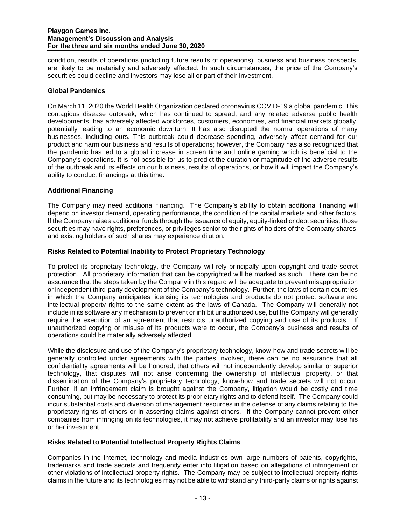condition, results of operations (including future results of operations), business and business prospects, are likely to be materially and adversely affected. In such circumstances, the price of the Company's securities could decline and investors may lose all or part of their investment.

## **Global Pandemics**

On March 11, 2020 the World Health Organization declared coronavirus COVID-19 a global pandemic. This contagious disease outbreak, which has continued to spread, and any related adverse public health developments, has adversely affected workforces, customers, economies, and financial markets globally, potentially leading to an economic downturn. It has also disrupted the normal operations of many businesses, including ours. This outbreak could decrease spending, adversely affect demand for our product and harm our business and results of operations; however, the Company has also recognized that the pandemic has led to a global increase in screen time and online gaming which is beneficial to the Company's operations. It is not possible for us to predict the duration or magnitude of the adverse results of the outbreak and its effects on our business, results of operations, or how it will impact the Company's ability to conduct financings at this time.

## **Additional Financing**

The Company may need additional financing. The Company's ability to obtain additional financing will depend on investor demand, operating performance, the condition of the capital markets and other factors. If the Company raises additional funds through the issuance of equity, equity-linked or debt securities, those securities may have rights, preferences, or privileges senior to the rights of holders of the Company shares, and existing holders of such shares may experience dilution.

## **Risks Related to Potential Inability to Protect Proprietary Technology**

To protect its proprietary technology, the Company will rely principally upon copyright and trade secret protection. All proprietary information that can be copyrighted will be marked as such. There can be no assurance that the steps taken by the Company in this regard will be adequate to prevent misappropriation or independent third-party development of the Company's technology. Further, the laws of certain countries in which the Company anticipates licensing its technologies and products do not protect software and intellectual property rights to the same extent as the laws of Canada. The Company will generally not include in its software any mechanism to prevent or inhibit unauthorized use, but the Company will generally require the execution of an agreement that restricts unauthorized copying and use of its products. If unauthorized copying or misuse of its products were to occur, the Company's business and results of operations could be materially adversely affected.

While the disclosure and use of the Company's proprietary technology, know-how and trade secrets will be generally controlled under agreements with the parties involved, there can be no assurance that all confidentiality agreements will be honored, that others will not independently develop similar or superior technology, that disputes will not arise concerning the ownership of intellectual property, or that dissemination of the Company's proprietary technology, know-how and trade secrets will not occur. Further, if an infringement claim is brought against the Company, litigation would be costly and time consuming, but may be necessary to protect its proprietary rights and to defend itself. The Company could incur substantial costs and diversion of management resources in the defense of any claims relating to the proprietary rights of others or in asserting claims against others. If the Company cannot prevent other companies from infringing on its technologies, it may not achieve profitability and an investor may lose his or her investment.

## **Risks Related to Potential Intellectual Property Rights Claims**

Companies in the Internet, technology and media industries own large numbers of patents, copyrights, trademarks and trade secrets and frequently enter into litigation based on allegations of infringement or other violations of intellectual property rights. The Company may be subject to intellectual property rights claims in the future and its technologies may not be able to withstand any third-party claims or rights against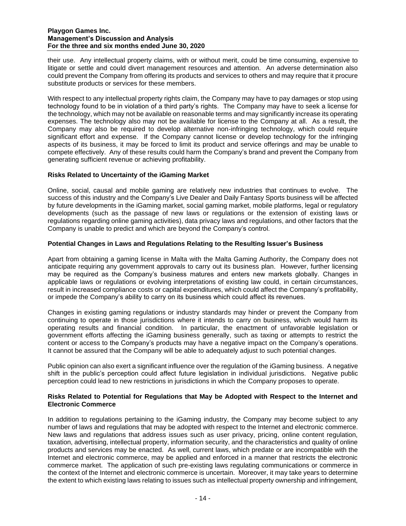their use. Any intellectual property claims, with or without merit, could be time consuming, expensive to litigate or settle and could divert management resources and attention. An adverse determination also could prevent the Company from offering its products and services to others and may require that it procure substitute products or services for these members.

With respect to any intellectual property rights claim, the Company may have to pay damages or stop using technology found to be in violation of a third party's rights. The Company may have to seek a license for the technology, which may not be available on reasonable terms and may significantly increase its operating expenses. The technology also may not be available for license to the Company at all. As a result, the Company may also be required to develop alternative non-infringing technology, which could require significant effort and expense. If the Company cannot license or develop technology for the infringing aspects of its business, it may be forced to limit its product and service offerings and may be unable to compete effectively. Any of these results could harm the Company's brand and prevent the Company from generating sufficient revenue or achieving profitability.

## **Risks Related to Uncertainty of the iGaming Market**

Online, social, causal and mobile gaming are relatively new industries that continues to evolve. The success of this industry and the Company's Live Dealer and Daily Fantasy Sports business will be affected by future developments in the iGaming market, social gaming market, mobile platforms, legal or regulatory developments (such as the passage of new laws or regulations or the extension of existing laws or regulations regarding online gaming activities), data privacy laws and regulations, and other factors that the Company is unable to predict and which are beyond the Company's control.

## **Potential Changes in Laws and Regulations Relating to the Resulting Issuer's Business**

Apart from obtaining a gaming license in Malta with the Malta Gaming Authority, the Company does not anticipate requiring any government approvals to carry out its business plan. However, further licensing may be required as the Company's business matures and enters new markets globally. Changes in applicable laws or regulations or evolving interpretations of existing law could, in certain circumstances, result in increased compliance costs or capital expenditures, which could affect the Company's profitability, or impede the Company's ability to carry on its business which could affect its revenues.

Changes in existing gaming regulations or industry standards may hinder or prevent the Company from continuing to operate in those jurisdictions where it intends to carry on business, which would harm its operating results and financial condition. In particular, the enactment of unfavorable legislation or government efforts affecting the iGaming business generally, such as taxing or attempts to restrict the content or access to the Company's products may have a negative impact on the Company's operations. It cannot be assured that the Company will be able to adequately adjust to such potential changes.

Public opinion can also exert a significant influence over the regulation of the iGaming business. A negative shift in the public's perception could affect future legislation in individual jurisdictions. Negative public perception could lead to new restrictions in jurisdictions in which the Company proposes to operate.

## **Risks Related to Potential for Regulations that May be Adopted with Respect to the Internet and Electronic Commerce**

In addition to regulations pertaining to the iGaming industry, the Company may become subject to any number of laws and regulations that may be adopted with respect to the Internet and electronic commerce. New laws and regulations that address issues such as user privacy, pricing, online content regulation, taxation, advertising, intellectual property, information security, and the characteristics and quality of online products and services may be enacted. As well, current laws, which predate or are incompatible with the Internet and electronic commerce, may be applied and enforced in a manner that restricts the electronic commerce market. The application of such pre-existing laws regulating communications or commerce in the context of the Internet and electronic commerce is uncertain. Moreover, it may take years to determine the extent to which existing laws relating to issues such as intellectual property ownership and infringement,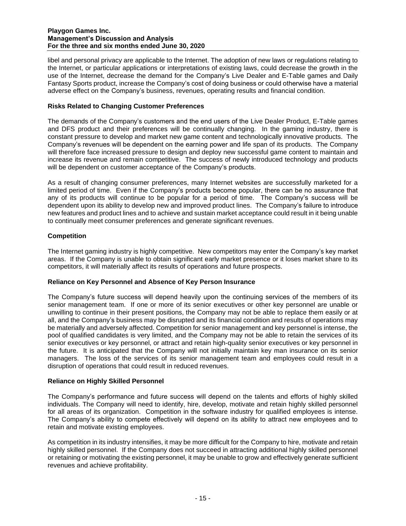libel and personal privacy are applicable to the Internet. The adoption of new laws or regulations relating to the Internet, or particular applications or interpretations of existing laws, could decrease the growth in the use of the Internet, decrease the demand for the Company's Live Dealer and E-Table games and Daily Fantasy Sports product, increase the Company's cost of doing business or could otherwise have a material adverse effect on the Company's business, revenues, operating results and financial condition.

# **Risks Related to Changing Customer Preferences**

The demands of the Company's customers and the end users of the Live Dealer Product, E-Table games and DFS product and their preferences will be continually changing. In the gaming industry, there is constant pressure to develop and market new game content and technologically innovative products. The Company's revenues will be dependent on the earning power and life span of its products. The Company will therefore face increased pressure to design and deploy new successful game content to maintain and increase its revenue and remain competitive. The success of newly introduced technology and products will be dependent on customer acceptance of the Company's products.

As a result of changing consumer preferences, many Internet websites are successfully marketed for a limited period of time. Even if the Company's products become popular, there can be no assurance that any of its products will continue to be popular for a period of time. The Company's success will be dependent upon its ability to develop new and improved product lines. The Company's failure to introduce new features and product lines and to achieve and sustain market acceptance could result in it being unable to continually meet consumer preferences and generate significant revenues.

# **Competition**

The Internet gaming industry is highly competitive. New competitors may enter the Company's key market areas. If the Company is unable to obtain significant early market presence or it loses market share to its competitors, it will materially affect its results of operations and future prospects.

# **Reliance on Key Personnel and Absence of Key Person Insurance**

The Company's future success will depend heavily upon the continuing services of the members of its senior management team. If one or more of its senior executives or other key personnel are unable or unwilling to continue in their present positions, the Company may not be able to replace them easily or at all, and the Company's business may be disrupted and its financial condition and results of operations may be materially and adversely affected. Competition for senior management and key personnel is intense, the pool of qualified candidates is very limited, and the Company may not be able to retain the services of its senior executives or key personnel, or attract and retain high-quality senior executives or key personnel in the future. It is anticipated that the Company will not initially maintain key man insurance on its senior managers. The loss of the services of its senior management team and employees could result in a disruption of operations that could result in reduced revenues.

# **Reliance on Highly Skilled Personnel**

The Company's performance and future success will depend on the talents and efforts of highly skilled individuals. The Company will need to identify, hire, develop, motivate and retain highly skilled personnel for all areas of its organization. Competition in the software industry for qualified employees is intense. The Company's ability to compete effectively will depend on its ability to attract new employees and to retain and motivate existing employees.

As competition in its industry intensifies, it may be more difficult for the Company to hire, motivate and retain highly skilled personnel. If the Company does not succeed in attracting additional highly skilled personnel or retaining or motivating the existing personnel, it may be unable to grow and effectively generate sufficient revenues and achieve profitability.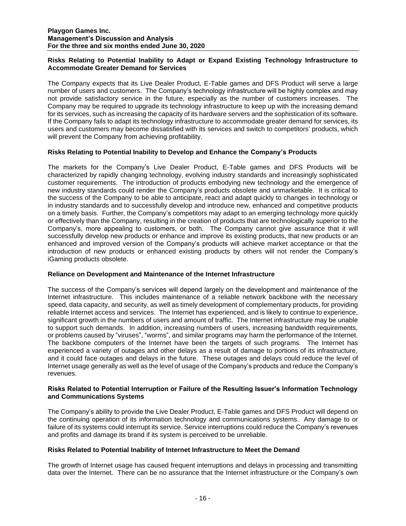## **Risks Relating to Potential Inability to Adapt or Expand Existing Technology Infrastructure to Accommodate Greater Demand for Services**

The Company expects that its Live Dealer Product, E-Table games and DFS Product will serve a large number of users and customers. The Company's technology infrastructure will be highly complex and may not provide satisfactory service in the future, especially as the number of customers increases. The Company may be required to upgrade its technology infrastructure to keep up with the increasing demand for its services, such as increasing the capacity of its hardware servers and the sophistication of its software. If the Company fails to adapt its technology infrastructure to accommodate greater demand for services, its users and customers may become dissatisfied with its services and switch to competitors' products, which will prevent the Company from achieving profitability.

# **Risks Relating to Potential Inability to Develop and Enhance the Company's Products**

The markets for the Company's Live Dealer Product, E-Table games and DFS Products will be characterized by rapidly changing technology, evolving industry standards and increasingly sophisticated customer requirements. The introduction of products embodying new technology and the emergence of new industry standards could render the Company's products obsolete and unmarketable. It is critical to the success of the Company to be able to anticipate, react and adapt quickly to changes in technology or in industry standards and to successfully develop and introduce new, enhanced and competitive products on a timely basis. Further, the Company's competitors may adapt to an emerging technology more quickly or effectively than the Company, resulting in the creation of products that are technologically superior to the Company's, more appealing to customers, or both. The Company cannot give assurance that it will successfully develop new products or enhance and improve its existing products, that new products or an enhanced and improved version of the Company's products will achieve market acceptance or that the introduction of new products or enhanced existing products by others will not render the Company's iGaming products obsolete.

# **Reliance on Development and Maintenance of the Internet Infrastructure**

The success of the Company's services will depend largely on the development and maintenance of the Internet infrastructure. This includes maintenance of a reliable network backbone with the necessary speed, data capacity, and security, as well as timely development of complementary products, for providing reliable Internet access and services. The Internet has experienced, and is likely to continue to experience, significant growth in the numbers of users and amount of traffic. The Internet infrastructure may be unable to support such demands. In addition, increasing numbers of users, increasing bandwidth requirements, or problems caused by "viruses", "worms", and similar programs may harm the performance of the Internet. The backbone computers of the Internet have been the targets of such programs. The Internet has experienced a variety of outages and other delays as a result of damage to portions of its infrastructure, and it could face outages and delays in the future. These outages and delays could reduce the level of Internet usage generally as well as the level of usage of the Company's products and reduce the Company's revenues.

## **Risks Related to Potential Interruption or Failure of the Resulting Issuer's Information Technology and Communications Systems**

The Company's ability to provide the Live Dealer Product, E-Table games and DFS Product will depend on the continuing operation of its information technology and communications systems. Any damage to or failure of its systems could interrupt its service. Service interruptions could reduce the Company's revenues and profits and damage its brand if its system is perceived to be unreliable.

## **Risks Related to Potential Inability of Internet Infrastructure to Meet the Demand**

The growth of Internet usage has caused frequent interruptions and delays in processing and transmitting data over the Internet. There can be no assurance that the Internet infrastructure or the Company's own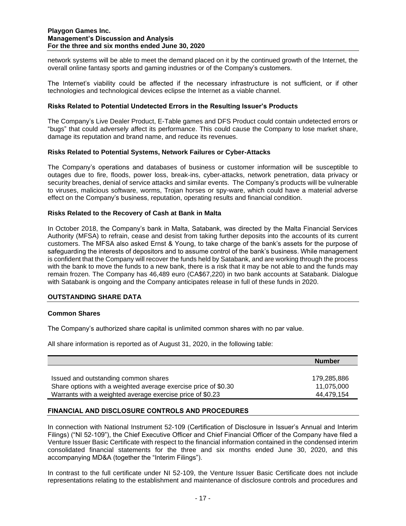network systems will be able to meet the demand placed on it by the continued growth of the Internet, the overall online fantasy sports and gaming industries or of the Company's customers.

The Internet's viability could be affected if the necessary infrastructure is not sufficient, or if other technologies and technological devices eclipse the Internet as a viable channel.

## **Risks Related to Potential Undetected Errors in the Resulting Issuer's Products**

The Company's Live Dealer Product, E-Table games and DFS Product could contain undetected errors or "bugs" that could adversely affect its performance. This could cause the Company to lose market share, damage its reputation and brand name, and reduce its revenues.

#### **Risks Related to Potential Systems, Network Failures or Cyber-Attacks**

The Company's operations and databases of business or customer information will be susceptible to outages due to fire, floods, power loss, break-ins, cyber-attacks, network penetration, data privacy or security breaches, denial of service attacks and similar events. The Company's products will be vulnerable to viruses, malicious software, worms, Trojan horses or spy-ware, which could have a material adverse effect on the Company's business, reputation, operating results and financial condition.

#### **Risks Related to the Recovery of Cash at Bank in Malta**

In October 2018, the Company's bank in Malta, Satabank, was directed by the Malta Financial Services Authority (MFSA) to refrain, cease and desist from taking further deposits into the accounts of its current customers. The MFSA also asked Ernst & Young, to take charge of the bank's assets for the purpose of safeguarding the interests of depositors and to assume control of the bank's business. While management is confident that the Company will recover the funds held by Satabank, and are working through the process with the bank to move the funds to a new bank, there is a risk that it may be not able to and the funds may remain frozen. The Company has 46,489 euro (CA\$67,220) in two bank accounts at Satabank. Dialogue with Satabank is ongoing and the Company anticipates release in full of these funds in 2020.

## **OUTSTANDING SHARE DATA**

#### **Common Shares**

The Company's authorized share capital is unlimited common shares with no par value.

All share information is reported as of August 31, 2020, in the following table:

|                                                                | <b>Number</b> |
|----------------------------------------------------------------|---------------|
|                                                                |               |
| Issued and outstanding common shares                           | 179.285.886   |
| Share options with a weighted average exercise price of \$0.30 | 11.075.000    |
| Warrants with a weighted average exercise price of \$0.23      | 44.479.154    |

## **FINANCIAL AND DISCLOSURE CONTROLS AND PROCEDURES**

In connection with National Instrument 52-109 (Certification of Disclosure in Issuer's Annual and Interim Filings) ("NI 52-109"), the Chief Executive Officer and Chief Financial Officer of the Company have filed a Venture Issuer Basic Certificate with respect to the financial information contained in the condensed interim consolidated financial statements for the three and six months ended June 30, 2020, and this accompanying MD&A (together the "Interim Filings").

In contrast to the full certificate under NI 52-109, the Venture Issuer Basic Certificate does not include representations relating to the establishment and maintenance of disclosure controls and procedures and